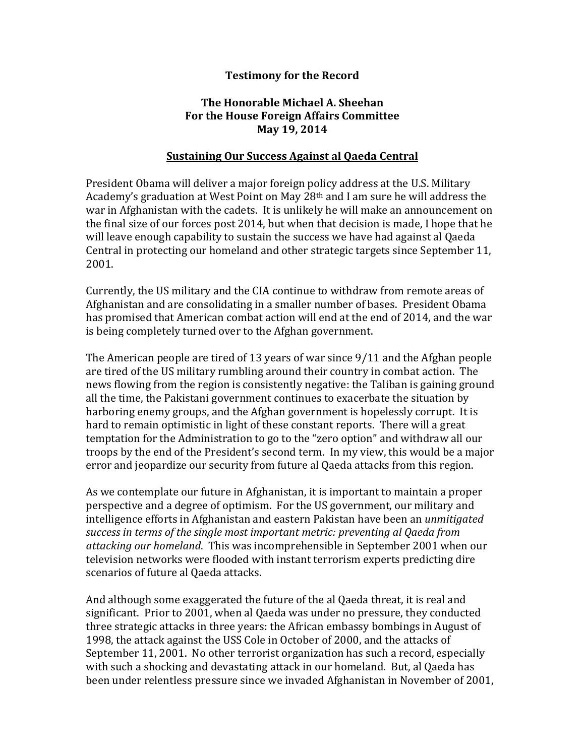## **Testimony for the Record**

## **The Honorable Michael A. Sheehan For the House Foreign Affairs Committee May 19, 2014**

## **Sustaining Our Success Against al Qaeda Central**

President Obama will deliver a major foreign policy address at the U.S. Military Academy's graduation at West Point on May 28th and I am sure he will address the war in Afghanistan with the cadets. It is unlikely he will make an announcement on the final size of our forces post 2014, but when that decision is made, I hope that he will leave enough capability to sustain the success we have had against al Qaeda Central in protecting our homeland and other strategic targets since September 11, 2001.

Currently, the US military and the CIA continue to withdraw from remote areas of Afghanistan and are consolidating in a smaller number of bases. President Obama has promised that American combat action will end at the end of 2014, and the war is being completely turned over to the Afghan government.

The American people are tired of 13 years of war since 9/11 and the Afghan people are tired of the US military rumbling around their country in combat action. The news flowing from the region is consistently negative: the Taliban is gaining ground all the time, the Pakistani government continues to exacerbate the situation by harboring enemy groups, and the Afghan government is hopelessly corrupt. It is hard to remain optimistic in light of these constant reports. There will a great temptation for the Administration to go to the "zero option" and withdraw all our troops by the end of the President's second term. In my view, this would be a major error and jeopardize our security from future al Qaeda attacks from this region.

As we contemplate our future in Afghanistan, it is important to maintain a proper perspective and a degree of optimism. For the US government, our military and intelligence efforts in Afghanistan and eastern Pakistan have been an *unmitigated success in terms of the single most important metric: preventing al Qaeda from attacking our homeland*. This was incomprehensible in September 2001 when our television networks were flooded with instant terrorism experts predicting dire scenarios of future al Qaeda attacks.

And although some exaggerated the future of the al Qaeda threat, it is real and significant. Prior to 2001, when al Qaeda was under no pressure, they conducted three strategic attacks in three years: the African embassy bombings in August of 1998, the attack against the USS Cole in October of 2000, and the attacks of September 11, 2001. No other terrorist organization has such a record, especially with such a shocking and devastating attack in our homeland. But, al Qaeda has been under relentless pressure since we invaded Afghanistan in November of 2001,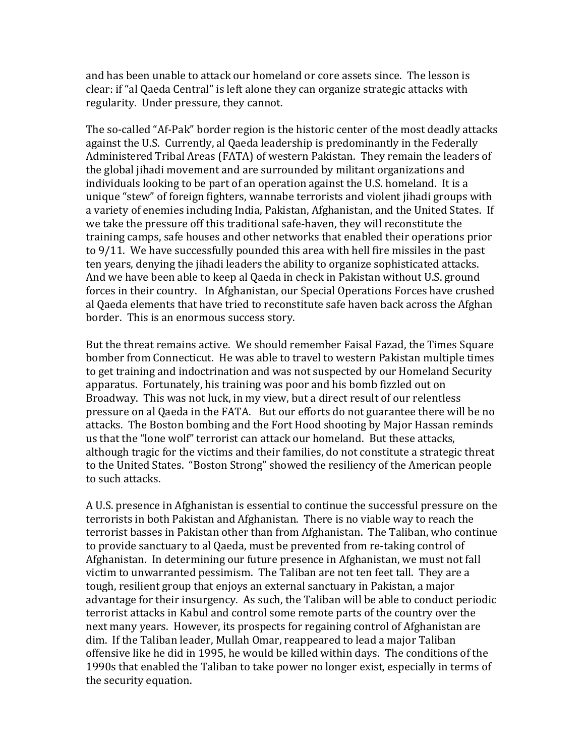and has been unable to attack our homeland or core assets since. The lesson is clear: if "al Qaeda Central" is left alone they can organize strategic attacks with regularity. Under pressure, they cannot.

The so-called "Af-Pak" border region is the historic center of the most deadly attacks against the U.S. Currently, al Qaeda leadership is predominantly in the Federally Administered Tribal Areas (FATA) of western Pakistan. They remain the leaders of the global jihadi movement and are surrounded by militant organizations and individuals looking to be part of an operation against the U.S. homeland. It is a unique "stew" of foreign fighters, wannabe terrorists and violent jihadi groups with a variety of enemies including India, Pakistan, Afghanistan, and the United States. If we take the pressure off this traditional safe-haven, they will reconstitute the training camps, safe houses and other networks that enabled their operations prior to 9/11. We have successfully pounded this area with hell fire missiles in the past ten years, denying the jihadi leaders the ability to organize sophisticated attacks. And we have been able to keep al Qaeda in check in Pakistan without U.S. ground forces in their country. In Afghanistan, our Special Operations Forces have crushed al Qaeda elements that have tried to reconstitute safe haven back across the Afghan border. This is an enormous success story.

But the threat remains active. We should remember Faisal Fazad, the Times Square bomber from Connecticut. He was able to travel to western Pakistan multiple times to get training and indoctrination and was not suspected by our Homeland Security apparatus. Fortunately, his training was poor and his bomb fizzled out on Broadway. This was not luck, in my view, but a direct result of our relentless pressure on al Qaeda in the FATA. But our efforts do not guarantee there will be no attacks. The Boston bombing and the Fort Hood shooting by Major Hassan reminds us that the "lone wolf" terrorist can attack our homeland. But these attacks, although tragic for the victims and their families, do not constitute a strategic threat to the United States. "Boston Strong" showed the resiliency of the American people to such attacks.

A U.S. presence in Afghanistan is essential to continue the successful pressure on the terrorists in both Pakistan and Afghanistan. There is no viable way to reach the terrorist basses in Pakistan other than from Afghanistan. The Taliban, who continue to provide sanctuary to al Qaeda, must be prevented from re-taking control of Afghanistan. In determining our future presence in Afghanistan, we must not fall victim to unwarranted pessimism. The Taliban are not ten feet tall. They are a tough, resilient group that enjoys an external sanctuary in Pakistan, a major advantage for their insurgency. As such, the Taliban will be able to conduct periodic terrorist attacks in Kabul and control some remote parts of the country over the next many years. However, its prospects for regaining control of Afghanistan are dim. If the Taliban leader, Mullah Omar, reappeared to lead a major Taliban offensive like he did in 1995, he would be killed within days. The conditions of the 1990s that enabled the Taliban to take power no longer exist, especially in terms of the security equation.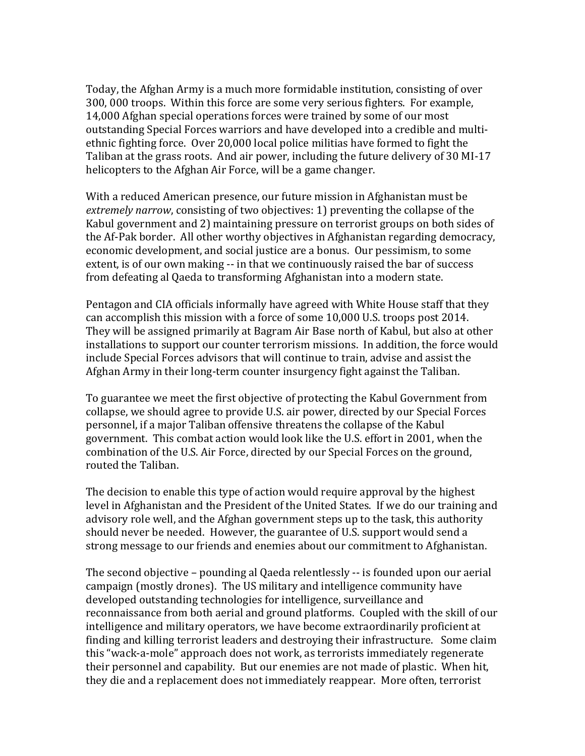Today, the Afghan Army is a much more formidable institution, consisting of over 300, 000 troops. Within this force are some very serious fighters. For example, 14,000 Afghan special operations forces were trained by some of our most outstanding Special Forces warriors and have developed into a credible and multiethnic fighting force. Over 20,000 local police militias have formed to fight the Taliban at the grass roots. And air power, including the future delivery of 30 MI-17 helicopters to the Afghan Air Force, will be a game changer.

With a reduced American presence, our future mission in Afghanistan must be *extremely narrow*, consisting of two objectives: 1) preventing the collapse of the Kabul government and 2) maintaining pressure on terrorist groups on both sides of the Af-Pak border. All other worthy objectives in Afghanistan regarding democracy, economic development, and social justice are a bonus. Our pessimism, to some extent, is of our own making -- in that we continuously raised the bar of success from defeating al Qaeda to transforming Afghanistan into a modern state.

Pentagon and CIA officials informally have agreed with White House staff that they can accomplish this mission with a force of some 10,000 U.S. troops post 2014. They will be assigned primarily at Bagram Air Base north of Kabul, but also at other installations to support our counter terrorism missions. In addition, the force would include Special Forces advisors that will continue to train, advise and assist the Afghan Army in their long-term counter insurgency fight against the Taliban.

To guarantee we meet the first objective of protecting the Kabul Government from collapse, we should agree to provide U.S. air power, directed by our Special Forces personnel, if a major Taliban offensive threatens the collapse of the Kabul government. This combat action would look like the U.S. effort in 2001, when the combination of the U.S. Air Force, directed by our Special Forces on the ground, routed the Taliban.

The decision to enable this type of action would require approval by the highest level in Afghanistan and the President of the United States. If we do our training and advisory role well, and the Afghan government steps up to the task, this authority should never be needed. However, the guarantee of U.S. support would send a strong message to our friends and enemies about our commitment to Afghanistan.

The second objective – pounding al Qaeda relentlessly -- is founded upon our aerial campaign (mostly drones). The US military and intelligence community have developed outstanding technologies for intelligence, surveillance and reconnaissance from both aerial and ground platforms. Coupled with the skill of our intelligence and military operators, we have become extraordinarily proficient at finding and killing terrorist leaders and destroying their infrastructure. Some claim this "wack-a-mole" approach does not work, as terrorists immediately regenerate their personnel and capability. But our enemies are not made of plastic. When hit, they die and a replacement does not immediately reappear. More often, terrorist